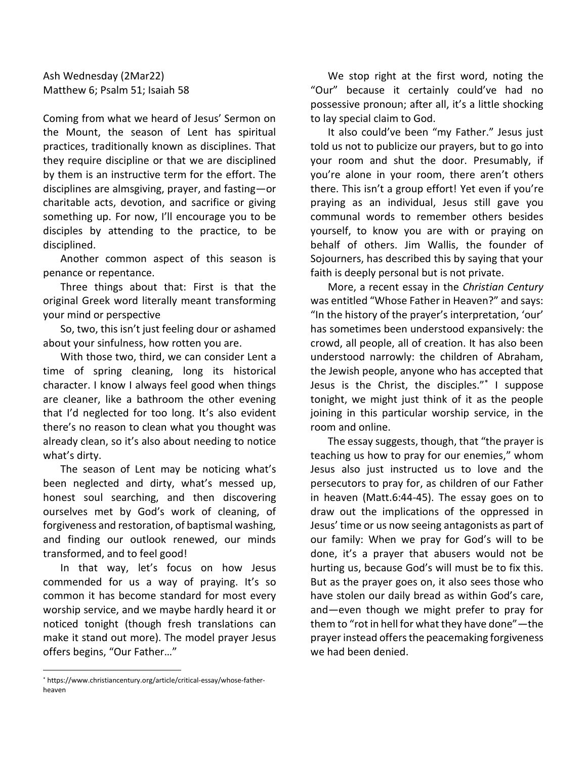Ash Wednesday (2Mar22) Matthew 6; Psalm 51; Isaiah 58

Coming from what we heard of Jesus' Sermon on the Mount, the season of Lent has spiritual practices, traditionally known as disciplines. That they require discipline or that we are disciplined by them is an instructive term for the effort. The disciplines are almsgiving, prayer, and fasting—or charitable acts, devotion, and sacrifice or giving something up. For now, I'll encourage you to be disciples by attending to the practice, to be disciplined.

Another common aspect of this season is penance or repentance.

Three things about that: First is that the original Greek word literally meant transforming your mind or perspective

So, two, this isn't just feeling dour or ashamed about your sinfulness, how rotten you are.

With those two, third, we can consider Lent a time of spring cleaning, long its historical character. I know I always feel good when things are cleaner, like a bathroom the other evening that I'd neglected for too long. It's also evident there's no reason to clean what you thought was already clean, so it's also about needing to notice what's dirty.

The season of Lent may be noticing what's been neglected and dirty, what's messed up, honest soul searching, and then discovering ourselves met by God's work of cleaning, of forgiveness and restoration, of baptismal washing, and finding our outlook renewed, our minds transformed, and to feel good!

In that way, let's focus on how Jesus commended for us a way of praying. It's so common it has become standard for most every worship service, and we maybe hardly heard it or noticed tonight (though fresh translations can make it stand out more). The model prayer Jesus offers begins, "Our Father…"

We stop right at the first word, noting the "Our" because it certainly could've had no possessive pronoun; after all, it's a little shocking to lay special claim to God.

It also could've been "my Father." Jesus just told us not to publicize our prayers, but to go into your room and shut the door. Presumably, if you're alone in your room, there aren't others there. This isn't a group effort! Yet even if you're praying as an individual, Jesus still gave you communal words to remember others besides yourself, to know you are with or praying on behalf of others. Jim Wallis, the founder of Sojourners, has described this by saying that your faith is deeply personal but is not private.

More, a recent essay in the *Christian Century*  was entitled "Whose Father in Heaven?" and says: "In the history of the prayer's interpretation, 'our' has sometimes been understood expansively: the crowd, all people, all of creation. It has also been understood narrowly: the children of Abraham, the Jewish people, anyone who has accepted that Jesus is the Christ, the disciples."\* I suppose tonight, we might just think of it as the people joining in this particular worship service, in the room and online.

The essay suggests, though, that "the prayer is teaching us how to pray for our enemies," whom Jesus also just instructed us to love and the persecutors to pray for, as children of our Father in heaven (Matt.6:44-45). The essay goes on to draw out the implications of the oppressed in Jesus' time or us now seeing antagonists as part of our family: When we pray for God's will to be done, it's a prayer that abusers would not be hurting us, because God's will must be to fix this. But as the prayer goes on, it also sees those who have stolen our daily bread as within God's care, and—even though we might prefer to pray for them to "rot in hell for what they have done"—the prayer instead offersthe peacemaking forgiveness we had been denied.

<sup>\*</sup> https://www.christiancentury.org/article/critical-essay/whose-fatherheaven